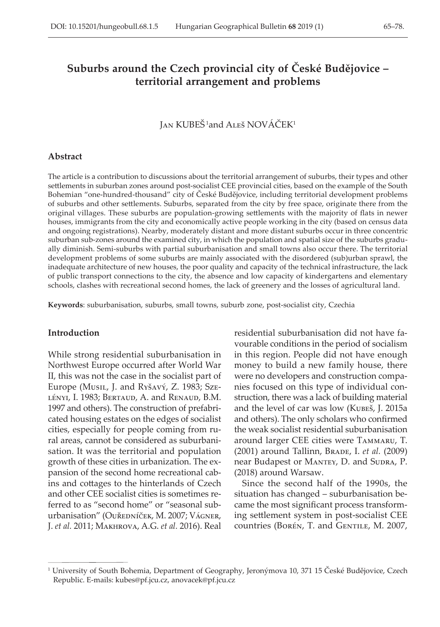# **Suburbs around the Czech provincial city of České Budějovice – territorial arrangement and problems**

# Jan KUBEŠ 1and Aleš NOVÁČEK<sup>1</sup>

#### **Abstract**

The article is a contribution to discussions about the territorial arrangement of suburbs, their types and other settlements in suburban zones around post-socialist CEE provincial cities, based on the example of the South Bohemian "one-hundred-thousand" city of České Budějovice, including territorial development problems of suburbs and other settlements. Suburbs, separated from the city by free space, originate there from the original villages. These suburbs are population-growing settlements with the majority of flats in newer houses, immigrants from the city and economically active people working in the city (based on census data and ongoing registrations). Nearby, moderately distant and more distant suburbs occur in three concentric suburban sub-zones around the examined city, in which the population and spatial size of the suburbs gradually diminish. Semi-suburbs with partial suburbanisation and small towns also occur there. The territorial development problems of some suburbs are mainly associated with the disordered (sub)urban sprawl, the inadequate architecture of new houses, the poor quality and capacity of the technical infrastructure, the lack of public transport connections to the city, the absence and low capacity of kindergartens and elementary schools, clashes with recreational second homes, the lack of greenery and the losses of agricultural land.

**Keywords**: suburbanisation, suburbs, small towns, suburb zone, post-socialist city, Czechia

### **Introduction**

While strong residential suburbanisation in Northwest Europe occurred after World War II, this was not the case in the socialist part of Europe (Musil, J. and Ryšavý, Z. 1983; Szelényi, I. 1983; Bertaud, A. and Renaud, B.M. 1997 and others). The construction of prefabricated housing estates on the edges of socialist cities, especially for people coming from rural areas, cannot be considered as suburbanisation. It was the territorial and population growth of these cities in urbanization. The expansion of the second home recreational cabins and cottages to the hinterlands of Czech and other CEE socialist cities is sometimes referred to as "second home" or "seasonal suburbanisation" (OUŘEDNÍČEK, M. 2007; VÁGNER, J. *et al.* 2011; Makhrova, A.G. *et al.* 2016). Real

residential suburbanisation did not have favourable conditions in the period of socialism in this region. People did not have enough money to build a new family house, there were no developers and construction companies focused on this type of individual construction, there was a lack of building material and the level of car was low (Kubeš, J. 2015a and others). The only scholars who confirmed the weak socialist residential suburbanisation around larger CEE cities were Tammaru, T. (2001) around Tallinn, Brade, I. *et al.* (2009) near Budapest or MANTEY, D. and SUDRA, P. (2018) around Warsaw.

Since the second half of the 1990s, the situation has changed – suburbanisation became the most significant process transforming settlement system in post-socialist CEE countries (Borén, T. and GENTILE, M. 2007,

<sup>1</sup> University of South Bohemia, Department of Geography, Jeronýmova 10, 371 15 České Budějovice, Czech Republic. E-mails: kubes@pf.jcu.cz, anovacek@pf.jcu.cz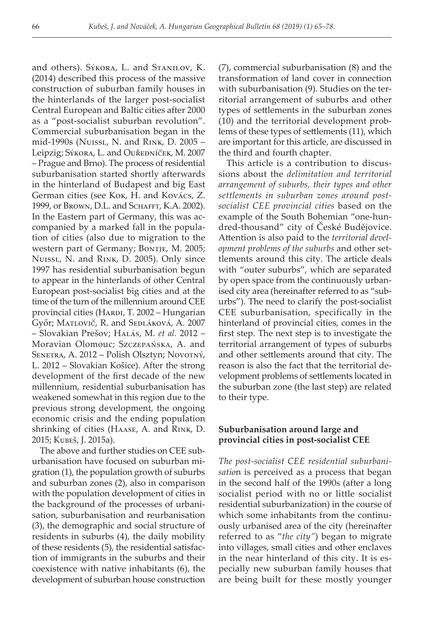and others). Sýkora, L. and Stanilov, K. (2014) described this process of the massive construction of suburban family houses in the hinterlands of the larger post-socialist Central European and Baltic cities after 2000 as a "post-socialist suburban revolution". Commercial suburbanisation began in the mid-1990s (Nuissl, N. and Rink, D. 2005 – Leipzig; Sýkora, L. and Ouředníček, M. 2007 – Prague and Brno). The process of residential suburbanisation started shortly afterwards in the hinterland of Budapest and big East German cities (see Kok, H. and Kovács, Z. 1999, or Brown, D.L. and Schafft, K.A. 2002). In the Eastern part of Germany, this was accompanied by a marked fall in the population of cities (also due to migration to the western part of Germany; Bontje, M. 2005; Nuissl, N. and Rink, D. 2005). Only since 1997 has residential suburbanisation begun to appear in the hinterlands of other Central European post-socialist big cities and at the time of the turn of the millennium around CEE provincial cities (HARDI, T. 2002 – Hungarian Győr; Matlovič, R. and Sedláková, A. 2007 – Slovakian Prešov; Halás, M. *et al.* 2012 – Moravian Olomouc; Szczepańska, A. and SENETRA, A. 2012 – Polish Olsztyn; Novotný, L. 2012 – Slovakian Košice). After the strong development of the first decade of the new millennium, residential suburbanisation has weakened somewhat in this region due to the previous strong development, the ongoing economic crisis and the ending population shrinking of cities (Haase, A. and Rink, D. 2015; Kubeš, J. 2015a).

The above and further studies on CEE suburbanisation have focused on suburban migration (1), the population growth of suburbs and suburban zones (2), also in comparison with the population development of cities in the background of the processes of urbanisation, suburbanisation and reurbanisation (3), the demographic and social structure of residents in suburbs (4), the daily mobility of these residents (5), the residential satisfaction of immigrants in the suburbs and their coexistence with native inhabitants (6), the development of suburban house construction

(7), commercial suburbanisation (8) and the transformation of land cover in connection with suburbanisation (9). Studies on the territorial arrangement of suburbs and other types of settlements in the suburban zones (10) and the territorial development problems of these types of settlements (11), which are important for this article, are discussed in the third and fourth chapter.

This article is a contribution to discussions about the *delimitation and territorial arrangement of suburbs, their types and other settlements in suburban zones around postsocialist CEE provincial cities* based on the example of the South Bohemian "one-hundred-thousand" city of České Budějovice. Attention is also paid to the *territorial development problems of the suburbs* and other settlements around this city. The article deals with "outer suburbs", which are separated by open space from the continuously urbanised city area (hereinafter referred to as "suburbs"). The need to clarify the post-socialist CEE suburbanisation, specifically in the hinterland of provincial cities, comes in the first step. The next step is to investigate the territorial arrangement of types of suburbs and other settlements around that city. The reason is also the fact that the territorial development problems of settlements located in the suburban zone (the last step) are related to their type.

# **Suburbanisation around large and provincial cities in post-socialist CEE**

*The post-socialist CEE residential suburbanisatio*n is perceived as a process that began in the second half of the 1990s (after a long socialist period with no or little socialist residential suburbanization) in the course of which some inhabitants from the continuously urbanised area of the city (hereinafter referred to as "*the city"*) began to migrate into villages, small cities and other enclaves in the near hinterland of this city. It is especially new suburban family houses that are being built for these mostly younger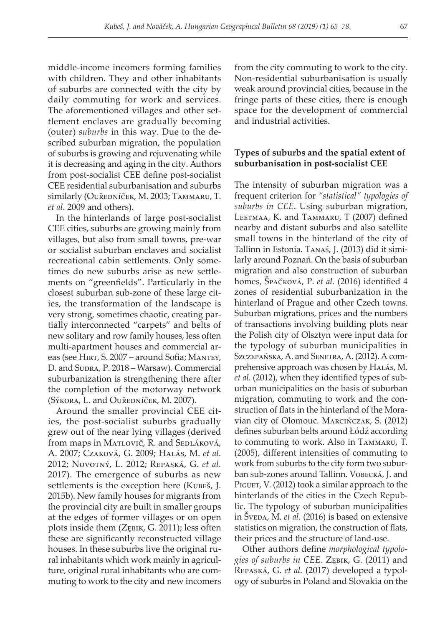middle-income incomers forming families with children. They and other inhabitants of suburbs are connected with the city by daily commuting for work and services. The aforementioned villages and other settlement enclaves are gradually becoming (outer) *suburbs* in this way. Due to the described suburban migration, the population of suburbs is growing and rejuvenating while it is decreasing and aging in the city. Authors from post-socialist CEE define post-socialist CEE residential suburbanisation and suburbs similarly (Ouředníček, M. 2003; Tammaru, T. *et al.* 2009 and others).

In the hinterlands of large post-socialist CEE cities, suburbs are growing mainly from villages, but also from small towns, pre-war or socialist suburban enclaves and socialist recreational cabin settlements. Only sometimes do new suburbs arise as new settlements on "greenfields". Particularly in the closest suburban sub-zone of these large cities, the transformation of the landscape is very strong, sometimes chaotic, creating partially interconnected "carpets" and belts of new solitary and row family houses, less often multi-apartment houses and commercial areas (see Hirt, S. 2007 – around Sofia; Mantey, D. and Sudra, P. 2018 – Warsaw). Commercial suburbanization is strengthening there after the completion of the motorway network (Sýkora, L. and Ouředníček, M. 2007).

Around the smaller provincial CEE cities, the post-socialist suburbs gradually grew out of the near lying villages (derived from maps in Matlovič, R. and Sedláková, A. 2007; Czaková, G. 2009; Halás, M. *et al.* 2012; Novotný, L. 2012; Repaská, G. *et al.* 2017). The emergence of suburbs as new settlements is the exception here (KUBES, J. 2015b). New family houses for migrants from the provincial city are built in smaller groups at the edges of former villages or on open plots inside them (Zębik, G. 2011); less often these are significantly reconstructed village houses. In these suburbs live the original rural inhabitants which work mainly in agriculture, original rural inhabitants who are commuting to work to the city and new incomers

from the city commuting to work to the city. Non-residential suburbanisation is usually weak around provincial cities, because in the fringe parts of these cities, there is enough space for the development of commercial and industrial activities.

# **Types of suburbs and the spatial extent of suburbanisation in post-socialist CEE**

The intensity of suburban migration was a frequent criterion for *"statistical" typologies of suburbs in CEE*. Using suburban migration, Leetmaa, K. and Tammaru, T (2007) defined nearby and distant suburbs and also satellite small towns in the hinterland of the city of Tallinn in Estonia. Tanaś, J. (2013) did it similarly around Poznań. On the basis of suburban migration and also construction of suburban homes, Špačková, P. *et al.* (2016) identified 4 zones of residential suburbanization in the hinterland of Prague and other Czech towns. Suburban migrations, prices and the numbers of transactions involving building plots near the Polish city of Olsztyn were input data for the typology of suburban municipalities in Szczepańska, A. and Senetra, A. (2012). A comprehensive approach was chosen by HALÁS, M. *et al.* (2012), when they identified types of suburban municipalities on the basis of suburban migration, commuting to work and the construction of flats in the hinterland of the Moravian city of Olomouc. Marcińczak, S. (2012) defines suburban belts around Łódź according to commuting to work. Also in Tammaru, T. (2005), different intensities of commuting to work from suburbs to the city form two suburban sub-zones around Tallinn. Vobecká, J. and PIGUET, V. (2012) took a similar approach to the hinterlands of the cities in the Czech Republic. The typology of suburban municipalities in Šveda, M. *et al.* (2016) is based on extensive statistics on migration, the construction of flats, their prices and the structure of land-use.

Other authors define *morphological typologies of suburbs in CEE*. Zębik, G. (2011) and Repaská, G. *et al.* (2017) developed a typology of suburbs in Poland and Slovakia on the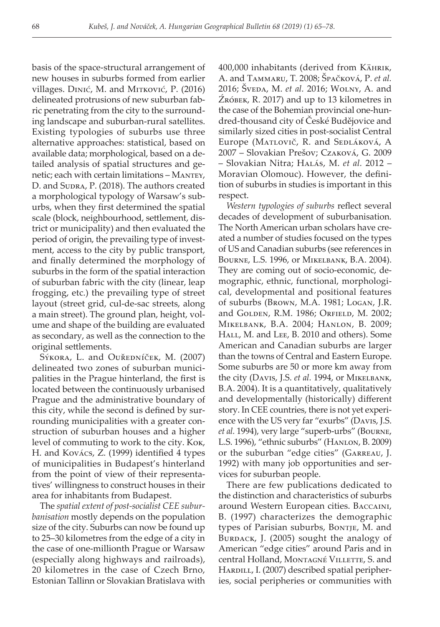basis of the space-structural arrangement of new houses in suburbs formed from earlier villages. Dinić, M. and Mitković, P. (2016) delineated protrusions of new suburban fabric penetrating from the city to the surrounding landscape and suburban-rural satellites. Existing typologies of suburbs use three alternative approaches: statistical, based on available data; morphological, based on a detailed analysis of spatial structures and genetic; each with certain limitations – Mantey, D. and Supra, P. (2018). The authors created a morphological typology of Warsaw's suburbs, when they first determined the spatial scale (block, neighbourhood, settlement, district or municipality) and then evaluated the period of origin, the prevailing type of investment, access to the city by public transport, and finally determined the morphology of suburbs in the form of the spatial interaction of suburban fabric with the city (linear, leap frogging, etc.) the prevailing type of street layout (street grid, cul-de-sac streets, along a main street). The ground plan, height, volume and shape of the building are evaluated as secondary, as well as the connection to the original settlements.

Sýkora, L. and Ouředníček, M. (2007) delineated two zones of suburban municipalities in the Prague hinterland, the first is located between the continuously urbanised Prague and the administrative boundary of this city, while the second is defined by surrounding municipalities with a greater construction of suburban houses and a higher level of commuting to work to the city. Kok, H. and Kovács, Z. (1999) identified 4 types of municipalities in Budapest's hinterland from the point of view of their representatives' willingness to construct houses in their area for inhabitants from Budapest.

The *spatial extent of post-socialist CEE suburbanisation* mostly depends on the population size of the city. Suburbs can now be found up to 25–30 kilometres from the edge of a city in the case of one-millionth Prague or Warsaw (especially along highways and railroads), 20 kilometres in the case of Czech Brno, Estonian Tallinn or Slovakian Bratislava with

400,000 inhabitants (derived from Kährik, A. and Tammaru, T. 2008; Špačková, P. *et al.* 2016; Šveda, M. *et al.* 2016; Wolny, A. and Źróbek, R. 2017) and up to 13 kilometres in the case of the Bohemian provincial one-hundred-thousand city of České Budějovice and similarly sized cities in post-socialist Central Europe (MATLOVIČ, R. and SEDLÁKOVÁ, A 2007 – Slovakian Prešov; Czaková, G. 2009 – Slovakian Nitra; Halás, M. *et al.* 2012 – Moravian Olomouc). However, the definition of suburbs in studies is important in this respect.

*Western typologies of suburbs* reflect several decades of development of suburbanisation*.* The North American urban scholars have created a number of studies focused on the types of US and Canadian suburbs (see references in Bourne, L.S. 1996, or Mikelbank, B.A. 2004). They are coming out of socio-economic, demographic, ethnic, functional, morphological, developmental and positional features of suburbs (Brown, M.A. 1981; Logan, J.R. and GOLDEN, R.M. 1986; ORFIELD, M. 2002; Mikelbank, B.A. 2004; Hanlon, B. 2009; HALL, M. and LEE, B. 2010 and others). Some American and Canadian suburbs are larger than the towns of Central and Eastern Europe. Some suburbs are 50 or more km away from the city (Davis, J.S. *et al.* 1994, or Мікеlванк, B.A. 2004). It is a quantitatively, qualitatively and developmentally (historically) different story. In CEE countries, there is not yet experience with the US very far "exurbs" (Davis, J.S. *et al.* 1994), very large "superb-urbs" (Bourne, L.S. 1996), "ethnic suburbs" (Hanlon, B. 2009) or the suburban "edge cities" (Garreau, J. 1992) with many job opportunities and services for suburban people.

There are few publications dedicated to the distinction and characteristics of suburbs around Western European cities. Baccaini, B. (1997) characterizes the demographic types of Parisian suburbs, Bontje, M. and BURDACK, J. (2005) sought the analogy of American "edge cities" around Paris and in central Holland, MONTAGNÉ VILLETTE, S. and HARDILL, I. (2007) described spatial peripheries, social peripheries or communities with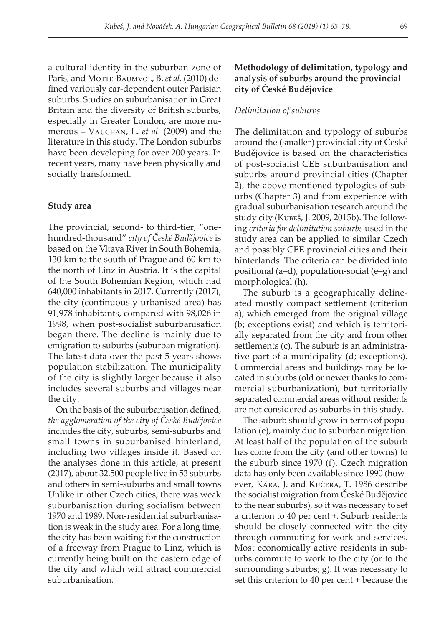a cultural identity in the suburban zone of Paris, and Morre-BAUMVOL, B. et al. (2010) defined variously car-dependent outer Parisian suburbs. Studies on suburbanisation in Great Britain and the diversity of British suburbs, especially in Greater London, are more numerous – Vaughan, L. *et al.* (2009) and the literature in this study. The London suburbs have been developing for over 200 years. In recent years, many have been physically and socially transformed.

#### **Study area**

The provincial, second- to third-tier, "onehundred-thousand" *city of České Budějovice* is based on the Vltava River in South Bohemia, 130 km to the south of Prague and 60 km to the north of Linz in Austria. It is the capital of the South Bohemian Region, which had 640,000 inhabitants in 2017. Currently (2017), the city (continuously urbanised area) has 91,978 inhabitants, compared with 98,026 in 1998, when post-socialist suburbanisation began there. The decline is mainly due to emigration to suburbs (suburban migration). The latest data over the past 5 years shows population stabilization. The municipality of the city is slightly larger because it also includes several suburbs and villages near the city.

On the basis of the suburbanisation defined, *the agglomeration of the city of České Budějovice* includes the city, suburbs, semi-suburbs and small towns in suburbanised hinterland, including two villages inside it*.* Based on the analyses done in this article, at present (2017), about 32,500 people live in 53 suburbs and others in semi-suburbs and small towns Unlike in other Czech cities, there was weak suburbanisation during socialism between 1970 and 1989. Non-residential suburbanisation is weak in the study area. For a long time, the city has been waiting for the construction of a freeway from Prague to Linz, which is currently being built on the eastern edge of the city and which will attract commercial suburbanisation.

# **Methodology of delimitation, typology and analysis of suburbs around the provincial city of České Budějovice**

#### *Delimitation of suburbs*

The delimitation and typology of suburbs around the (smaller) provincial city of České Budějovice is based on the characteristics of post-socialist CEE suburbanisation and suburbs around provincial cities (Chapter 2), the above-mentioned typologies of suburbs (Chapter 3) and from experience with gradual suburbanisation research around the study city (Kubeš, J. 2009, 2015b). The following *criteria for delimitation suburbs* used in the study area can be applied to similar Czech and possibly CEE provincial cities and their hinterlands. The criteria can be divided into positional (a–d), population-social (e–g) and morphological (h).

The suburb is a geographically delineated mostly compact settlement (criterion a), which emerged from the original village (b; exceptions exist) and which is territorially separated from the city and from other settlements (c). The suburb is an administrative part of a municipality (d; exceptions). Commercial areas and buildings may be located in suburbs (old or newer thanks to commercial suburbanization), but territorially separated commercial areas without residents are not considered as suburbs in this study.

The suburb should grow in terms of population (e), mainly due to suburban migration. At least half of the population of the suburb has come from the city (and other towns) to the suburb since 1970 (f). Czech migration data has only been available since 1990 (however, Kára, J. and Kučera, T. 1986 describe the socialist migration from České Budějovice to the near suburbs), so it was necessary to set a criterion to 40 per cent +. Suburb residents should be closely connected with the city through commuting for work and services. Most economically active residents in suburbs commute to work to the city (or to the surrounding suburbs; g). It was necessary to set this criterion to 40 per cent + because the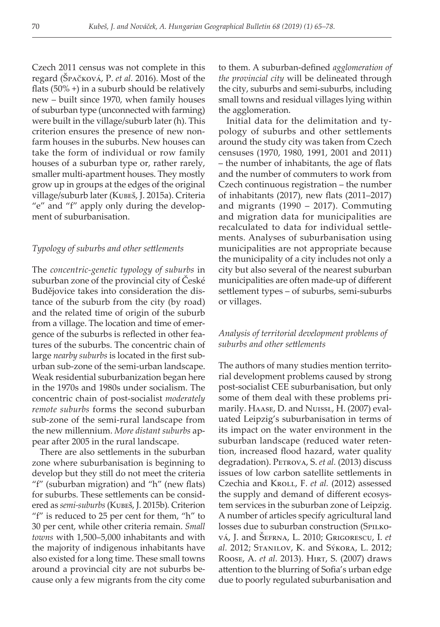Czech 2011 census was not complete in this regard (Špačková, P. *et al.* 2016). Most of the flats (50% +) in a suburb should be relatively new – built since 1970, when family houses of suburban type (unconnected with farming) were built in the village/suburb later (h). This criterion ensures the presence of new nonfarm houses in the suburbs. New houses can take the form of individual or row family houses of a suburban type or, rather rarely, smaller multi-apartment houses. They mostly grow up in groups at the edges of the original village/suburb later (Kubeš, J. 2015a). Criteria "e" and "f" apply only during the development of suburbanisation.

#### *Typology of suburbs and other settlements*

The *concentric-genetic typology of suburbs* in suburban zone of the provincial city of České Budějovice takes into consideration the distance of the suburb from the city (by road) and the related time of origin of the suburb from a village. The location and time of emergence of the suburbs is reflected in other features of the suburbs. The concentric chain of large *nearby suburbs* is located in the first suburban sub-zone of the semi-urban landscape. Weak residential suburbanization began here in the 1970s and 1980s under socialism. The concentric chain of post-socialist *moderately remote suburbs* forms the second suburban sub-zone of the semi-rural landscape from the new millennium. *More distant suburbs* appear after 2005 in the rural landscape.

There are also settlements in the suburban zone where suburbanisation is beginning to develop but they still do not meet the criteria "f" (suburban migration) and "h" (new flats) for suburbs. These settlements can be considered as *semi-suburbs* (Kubeš, J. 2015b)*.* Criterion "f" is reduced to 25 per cent for them, "h" to 30 per cent, while other criteria remain. *Small towns* with 1,500–5,000 inhabitants and with the majority of indigenous inhabitants have also existed for a long time. These small towns around a provincial city are not suburbs because only a few migrants from the city come to them. A suburban-defined *agglomeration of the provincial city* will be delineated through the city, suburbs and semi-suburbs, including small towns and residual villages lying within the agglomeration.

Initial data for the delimitation and typology of suburbs and other settlements around the study city was taken from Czech censuses (1970, 1980, 1991, 2001 and 2011) – the number of inhabitants, the age of flats and the number of commuters to work from Czech continuous registration – the number of inhabitants (2017), new flats (2011–2017) and migrants (1990 – 2017). Commuting and migration data for municipalities are recalculated to data for individual settlements. Analyses of suburbanisation using municipalities are not appropriate because the municipality of a city includes not only a city but also several of the nearest suburban municipalities are often made-up of different settlement types – of suburbs, semi-suburbs or villages.

# *Analysis of territorial development problems of suburbs and other settlements*

The authors of many studies mention territorial development problems caused by strong post-socialist CEE suburbanisation, but only some of them deal with these problems primarily. Haase, D. and Nuissl, H. (2007) evaluated Leipzig's suburbanisation in terms of its impact on the water environment in the suburban landscape (reduced water retention, increased flood hazard, water quality degradation). PETROVA, S. *et al.* (2013) discuss issues of low carbon satellite settlements in Czechia and KroLL, F. et al. (2012) assessed the supply and demand of different ecosystem services in the suburban zone of Leipzig. A number of articles specify agricultural land losses due to suburban construction (SPILKOvá, J. and Šefrna, L. 2010; Grigorescu, I. *et al.* 2012; Stanilov, K. and Sýkora, L. 2012; Roose, A. *et al.* 2013). Hirt, S. (2007) draws attention to the blurring of Sofia's urban edge due to poorly regulated suburbanisation and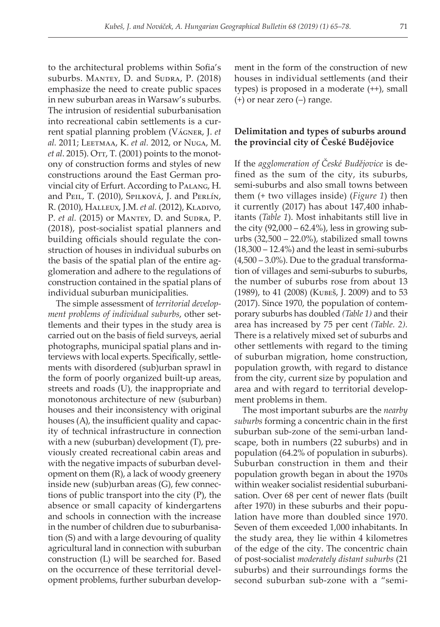to the architectural problems within Sofia's suburbs. MANTEY, D. and SUDRA, P. (2018) emphasize the need to create public spaces in new suburban areas in Warsaw's suburbs. The intrusion of residential suburbanisation into recreational cabin settlements is a current spatial planning problem (Vágner, J. *et al.* 2011; Leetmaa, K. *et al.* 2012, or Nuga, M. *et al.* 2015). Orr, T. (2001) points to the monotony of construction forms and styles of new constructions around the East German provincial city of Erfurt. According to Palang, H. and Peil, T. (2010), Spilková, J. and Perlín, R. (2010), HALLEUX, J.M. *et al.* (2012), KLADIVO, P. *et al.* (2015) or MANTEY, D. and SUDRA, P. (2018), post-socialist spatial planners and building officials should regulate the construction of houses in individual suburbs on the basis of the spatial plan of the entire agglomeration and adhere to the regulations of construction contained in the spatial plans of individual suburban municipalities.

The simple assessment of *territorial development problems of individual suburbs*, other settlements and their types in the study area is carried out on the basis of field surveys, aerial photographs, municipal spatial plans and interviews with local experts. Specifically, settlements with disordered (sub)urban sprawl in the form of poorly organized built-up areas, streets and roads (U), the inappropriate and monotonous architecture of new (suburban) houses and their inconsistency with original houses (A), the insufficient quality and capacity of technical infrastructure in connection with a new (suburban) development (T), previously created recreational cabin areas and with the negative impacts of suburban development on them (R), a lack of woody greenery inside new (sub)urban areas (G), few connections of public transport into the city (P), the absence or small capacity of kindergartens and schools in connection with the increase in the number of children due to suburbanisation (S) and with a large devouring of quality agricultural land in connection with suburban construction (L) will be searched for. Based on the occurrence of these territorial development problems, further suburban development in the form of the construction of new houses in individual settlements (and their types) is proposed in a moderate (++), small (+) or near zero (–) range.

# **Delimitation and types of suburbs around the provincial city of České Budějovice**

If the *agglomeration of České Budějovice* is defined as the sum of the city, its suburbs, semi-suburbs and also small towns between them (+ two villages inside) (*Figure 1*) then it currently (2017) has about 147,400 inhabitants (*Table 1*). Most inhabitants still live in the city  $(92,000 - 62.4\%)$ , less in growing suburbs (32,500 – 22.0%), stabilized small towns (18,300 – 12.4%) and the least in semi-suburbs  $(4,500 - 3.0\%)$ . Due to the gradual transformation of villages and semi-suburbs to suburbs, the number of suburbs rose from about 13 (1989), to 41 (2008) (Kubeš, J. 2009) and to 53 (2017). Since 1970, the population of contemporary suburbs has doubled *(Table 1)* and their area has increased by 75 per cent *(Table. 2).* There is a relatively mixed set of suburbs and other settlements with regard to the timing of suburban migration, home construction, population growth, with regard to distance from the city, current size by population and area and with regard to territorial development problems in them.

The most important suburbs are the *nearby suburbs* forming a concentric chain in the first suburban sub-zone of the semi-urban landscape, both in numbers (22 suburbs) and in population (64.2% of population in suburbs). Suburban construction in them and their population growth began in about the 1970s within weaker socialist residential suburbanisation. Over 68 per cent of newer flats (built after 1970) in these suburbs and their population have more than doubled since 1970. Seven of them exceeded 1,000 inhabitants. In the study area, they lie within 4 kilometres of the edge of the city. The concentric chain of post-socialist *moderately distant suburbs* (21 suburbs) and their surroundings forms the second suburban sub-zone with a "semi-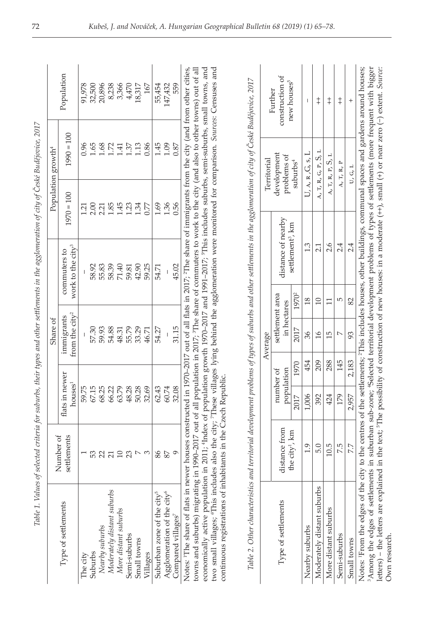|                                                                                                                                                                       | Number of                  |                                       |      | Share of                                 |                   |                                               |              | Population growth <sup>4</sup>    |                                                                                                                                            |
|-----------------------------------------------------------------------------------------------------------------------------------------------------------------------|----------------------------|---------------------------------------|------|------------------------------------------|-------------------|-----------------------------------------------|--------------|-----------------------------------|--------------------------------------------------------------------------------------------------------------------------------------------|
| Type of settlements                                                                                                                                                   | settlements                | flats in newer<br>houses <sup>1</sup> |      | from the city <sup>2</sup><br>immigrants |                   | work to the city <sup>3</sup><br>commuters to | $1970 = 100$ | $1990 = 100$                      | Population                                                                                                                                 |
| The city                                                                                                                                                              |                            | 59.75                                 |      |                                          |                   |                                               | 1.21         | 0.96                              | 91,978                                                                                                                                     |
| Suburbs                                                                                                                                                               | 53                         | 67.15                                 |      | 57.30                                    |                   | 58.92                                         | 2.00         | 1.65                              | 32,500                                                                                                                                     |
| Nearby suburbs                                                                                                                                                        |                            | 68.25                                 |      | 59.93                                    |                   | 55.83                                         | 2.21         | 1.68                              | 20,896                                                                                                                                     |
|                                                                                                                                                                       | 2710                       | 66.22                                 |      | 54.88                                    |                   | 58.39                                         | 1.85         | 1.72                              | 8,238                                                                                                                                      |
| Moderately distant suburbs<br>More distant suburbs                                                                                                                    |                            | 63.79                                 |      | 48.31                                    |                   | 71.40                                         | 1.45         | 1.41                              | 3,366                                                                                                                                      |
| Semi-suburbs                                                                                                                                                          | 23                         | 48.28                                 |      | 55.79                                    |                   | 59.81                                         | 1.23         | 1.37                              | 4,470                                                                                                                                      |
| Small towns                                                                                                                                                           | $\triangleright$           | 50.28                                 |      | 33.29                                    |                   | 42.90                                         | 1.34         | 1.13                              | 18,317                                                                                                                                     |
| Villages                                                                                                                                                              | S                          | 32.69                                 |      | 46.71                                    |                   | 59.25                                         | 0.77         | 0.86                              | 167                                                                                                                                        |
| Suburban zone of the city <sup>5</sup>                                                                                                                                | 86                         | 62.43                                 |      | 54.27                                    |                   | 54.71                                         | 1.69         | 1.45                              | 55,454                                                                                                                                     |
| Agglomeration of the city <sup>6</sup>                                                                                                                                | 87                         | 60.74                                 |      |                                          |                   |                                               | 1.36         | 1.09                              | 147,432                                                                                                                                    |
| Compared villages <sup>7</sup>                                                                                                                                        | $\circ$                    | 32.08                                 |      | 31.15                                    |                   | 45.02                                         | 0.56         | 0.87                              | 559                                                                                                                                        |
| Notes: <sup>1</sup> The share of flats in                                                                                                                             |                            |                                       |      |                                          |                   |                                               |              |                                   | newer houses constructed in 1970-2017 out of all flats in 2017, <sup>2</sup> The share of immigrants from the city (and from other cities, |
| towns and suburbs) migrating in 1990-2017 out of all population in 2017; <sup>3</sup> The share of commuters to work to the city (and also to other towns) out of all |                            |                                       |      |                                          |                   |                                               |              |                                   |                                                                                                                                            |
| economically active population in 2011; 'Index of population growth 1970-2017 and 1991-2017; 'This includes suburbs, semi-suburbs, small towns, and                   |                            |                                       |      |                                          |                   |                                               |              |                                   |                                                                                                                                            |
| two small villages; "This includes also the city; 7These villages lying behind the agglomeration were monitored for comparison. Sources: Censuses and                 |                            |                                       |      |                                          |                   |                                               |              |                                   |                                                                                                                                            |
| continuous registrations of inhabitants in the Czech Republic                                                                                                         |                            |                                       |      |                                          |                   |                                               |              |                                   |                                                                                                                                            |
|                                                                                                                                                                       |                            |                                       |      |                                          |                   |                                               |              |                                   |                                                                                                                                            |
| Table 2. Other characteristics and territorial development problems of types of suburbs and other settlements in the agglomeration of city of České Budějovice, 2017  |                            |                                       |      |                                          |                   |                                               |              |                                   |                                                                                                                                            |
|                                                                                                                                                                       |                            |                                       |      | Average                                  |                   |                                               |              | Territorial                       |                                                                                                                                            |
| Type of settlements                                                                                                                                                   | distance from              | population<br>number of               |      | settlement area<br>in hectares           |                   | distance of nearby                            |              | development<br>problems of        | construction of<br>Further                                                                                                                 |
|                                                                                                                                                                       | the city <sup>1</sup> , km | 2017                                  | 1970 | 2017                                     | 1970 <sup>2</sup> | settlement <sup>3</sup> , km                  |              | suburbs <sup>4</sup>              | new houses <sup>5</sup>                                                                                                                    |
|                                                                                                                                                                       |                            |                                       |      |                                          |                   |                                               |              |                                   |                                                                                                                                            |
| Nearby suburbs                                                                                                                                                        | 1.9                        | 1,006                                 | 454  | 36                                       | 18                | 1.3                                           |              | $U$ , $A$ , $R$ , $G$ , $S$ , $L$ | J.                                                                                                                                         |
| Moderately distant suburbs                                                                                                                                            | 5.0                        | 392                                   | 209  | $\frac{8}{1}$                            | $\Box$            | 2.1                                           |              | ц<br>A, T, R, G, P, $S$ ,         | $\ddagger$                                                                                                                                 |
| More distant suburbs                                                                                                                                                  | 10.5                       | 424                                   | 288  | 15                                       | $\Box$            | 2.6                                           |              | A, T, R, P, S, L                  | $\ddagger$                                                                                                                                 |

|                                                                                                                                                                                                                                                                                                                                                                                                                                                                                                                                          |                            |       |                         |         |                                |                              | $\mathcal{L}$ is a construction of $\mathcal{L}$ is a construction of $\mathcal{L}$ |                            |
|------------------------------------------------------------------------------------------------------------------------------------------------------------------------------------------------------------------------------------------------------------------------------------------------------------------------------------------------------------------------------------------------------------------------------------------------------------------------------------------------------------------------------------------|----------------------------|-------|-------------------------|---------|--------------------------------|------------------------------|-------------------------------------------------------------------------------------|----------------------------|
|                                                                                                                                                                                                                                                                                                                                                                                                                                                                                                                                          |                            |       |                         | Average |                                |                              | Territorial                                                                         |                            |
| Type of settlements                                                                                                                                                                                                                                                                                                                                                                                                                                                                                                                      | distance from              |       | population<br>number of |         | settlement area<br>in hectares | distance of nearby           | development<br>problems of                                                          | construction of<br>Further |
|                                                                                                                                                                                                                                                                                                                                                                                                                                                                                                                                          | the city <sup>1</sup> , km | 2017  | 1970                    | 2017    | 1970 <sup>2</sup>              | settlement <sup>3</sup> , km | subutbs <sup>4</sup>                                                                | new houses <sup>5</sup>    |
| Nearby suburbs                                                                                                                                                                                                                                                                                                                                                                                                                                                                                                                           | $\frac{1}{2}$              | 1,006 | 454                     | 36      | $^{\circ}$                     | w.                           | U, A, R, G, S, L                                                                    |                            |
| Moderately distant suburbs                                                                                                                                                                                                                                                                                                                                                                                                                                                                                                               | 5.0                        | 392   | 209                     | $\circ$ |                                | 21                           | $A, T, R, G, P, S, L$                                                               | $\ddagger$                 |
| More distant suburbs                                                                                                                                                                                                                                                                                                                                                                                                                                                                                                                     | 10.5                       | 424   | 288                     | 15      |                                | 2.6                          | $A$ , $T$ , $R$ , $P$ , $S$ , $L$                                                   | $\ddagger$                 |
| Semi-suburbs                                                                                                                                                                                                                                                                                                                                                                                                                                                                                                                             | 7.5                        | 179   | 145                     |         | 5                              |                              | A, T, R, P                                                                          | $\ddagger$                 |
| Small towns                                                                                                                                                                                                                                                                                                                                                                                                                                                                                                                              | 7.7                        | 2,957 | 2,183                   | 93      | 82                             | 24                           | U, G, L                                                                             |                            |
| Notes: From the edges of the city to the centres of the settlements; <sup>2</sup> This includes houses, other buildings, communal spaces and gardens around houses;<br><sup>3</sup> Among the edges of settlements in suburban sub-zone; <sup>4</sup> Selected territorial development problems of types of settlements (more frequent with bigger<br>letters) – the letters are explained in the text; <sup>5</sup> The possibility of construction of new houses: in a moderate $(+)$ , small $(+)$ or near zero $(-)$ extent. Source: |                            |       |                         |         |                                |                              |                                                                                     |                            |
| Own research                                                                                                                                                                                                                                                                                                                                                                                                                                                                                                                             |                            |       |                         |         |                                |                              |                                                                                     |                            |

| ļ                        | j<br>ì                    |  |
|--------------------------|---------------------------|--|
|                          |                           |  |
|                          |                           |  |
|                          |                           |  |
|                          |                           |  |
|                          |                           |  |
|                          |                           |  |
|                          |                           |  |
|                          |                           |  |
|                          |                           |  |
|                          | Ĭ                         |  |
|                          |                           |  |
|                          | ׅ֚֚֬֓֕֓֡֡֡֡֡֡֝            |  |
|                          |                           |  |
|                          |                           |  |
|                          | $\overline{\phantom{a}}$  |  |
|                          | č                         |  |
|                          |                           |  |
|                          |                           |  |
|                          |                           |  |
|                          | Į                         |  |
|                          |                           |  |
|                          | t                         |  |
|                          |                           |  |
|                          | Ĭ                         |  |
|                          | $\ddot{=}$                |  |
|                          |                           |  |
|                          |                           |  |
|                          | į                         |  |
|                          |                           |  |
|                          |                           |  |
|                          | 'n                        |  |
|                          |                           |  |
|                          |                           |  |
|                          |                           |  |
|                          |                           |  |
|                          | š                         |  |
|                          |                           |  |
|                          |                           |  |
|                          |                           |  |
|                          |                           |  |
|                          | ì<br>ì                    |  |
|                          |                           |  |
|                          | ł                         |  |
|                          | $\frac{1}{2}$             |  |
|                          |                           |  |
|                          | ì                         |  |
|                          |                           |  |
|                          |                           |  |
|                          |                           |  |
|                          |                           |  |
|                          | $\ddot{\phantom{0}}$<br>ì |  |
|                          |                           |  |
|                          |                           |  |
|                          | ì                         |  |
|                          | J                         |  |
|                          |                           |  |
|                          | $\tilde{H}$               |  |
|                          |                           |  |
|                          |                           |  |
|                          |                           |  |
|                          | ļ                         |  |
|                          | ì                         |  |
|                          | 714.                      |  |
|                          | Ż                         |  |
|                          |                           |  |
|                          |                           |  |
|                          |                           |  |
|                          |                           |  |
|                          |                           |  |
|                          | ì                         |  |
|                          | Š<br>ź                    |  |
|                          |                           |  |
|                          | ׇ֚֚֬֕<br>ś                |  |
|                          |                           |  |
| $\overline{\mathcal{L}}$ |                           |  |
|                          |                           |  |
|                          | Į                         |  |
|                          | Table                     |  |
|                          |                           |  |
|                          |                           |  |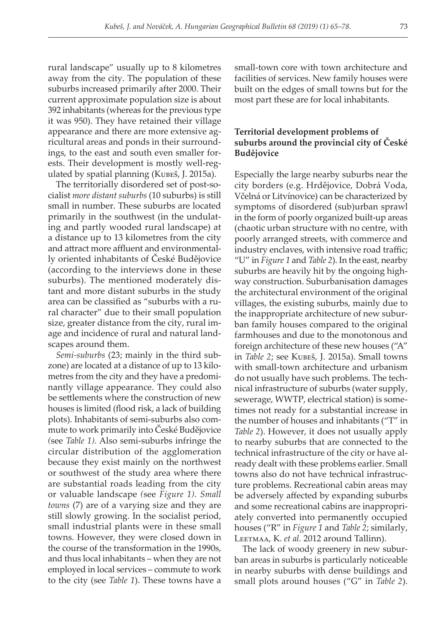rural landscape" usually up to 8 kilometres away from the city. The population of these suburbs increased primarily after 2000. Their current approximate population size is about 392 inhabitants (whereas for the previous type it was 950). They have retained their village appearance and there are more extensive agricultural areas and ponds in their surroundings, to the east and south even smaller forests. Their development is mostly well-regulated by spatial planning (Kubeš, J. 2015a).

The territorially disordered set of post-socialist *more distant suburbs* (10 suburbs) is still small in number. These suburbs are located primarily in the southwest (in the undulating and partly wooded rural landscape) at a distance up to 13 kilometres from the city and attract more affluent and environmentally oriented inhabitants of České Budějovice (according to the interviews done in these suburbs). The mentioned moderately distant and more distant suburbs in the study area can be classified as "suburbs with a rural character" due to their small population size, greater distance from the city, rural image and incidence of rural and natural landscapes around them.

*Semi-suburbs* (23; mainly in the third subzone) are located at a distance of up to 13 kilometres from the city and they have a predominantly village appearance. They could also be settlements where the construction of new houses is limited (flood risk, a lack of building plots). Inhabitants of semi-suburbs also commute to work primarily into České Budějovice *(*see *Table 1).* Also semi-suburbs infringe the circular distribution of the agglomeration because they exist mainly on the northwest or southwest of the study area where there are substantial roads leading from the city or valuable landscape *(*see *Figure 1). Small towns* (7) are of a varying size and they are still slowly growing. In the socialist period, small industrial plants were in these small towns. However, they were closed down in the course of the transformation in the 1990s, and thus local inhabitants – when they are not employed in local services – commute to work to the city (see *Table 1*). These towns have a

small-town core with town architecture and facilities of services. New family houses were built on the edges of small towns but for the most part these are for local inhabitants.

# **Territorial development problems of suburbs around the provincial city of České Budějovice**

Especially the large nearby suburbs near the city borders (e.g. Hrdějovice, Dobrá Voda, Včelná or Litvínovice) can be characterized by symptoms of disordered (sub)urban sprawl in the form of poorly organized built-up areas (chaotic urban structure with no centre, with poorly arranged streets, with commerce and industry enclaves, with intensive road traffic; "U" in *Figure 1* and *Table 2*). In the east, nearby suburbs are heavily hit by the ongoing highway construction. Suburbanisation damages the architectural environment of the original villages, the existing suburbs, mainly due to the inappropriate architecture of new suburban family houses compared to the original farmhouses and due to the monotonous and foreign architecture of these new houses ("A" in *Table 2*; see Kubeš, J. 2015a). Small towns with small-town architecture and urbanism do not usually have such problems. The technical infrastructure of suburbs (water supply, sewerage, WWTP, electrical station) is sometimes not ready for a substantial increase in the number of houses and inhabitants ("T" in *Table 2*). However, it does not usually apply to nearby suburbs that are connected to the technical infrastructure of the city or have already dealt with these problems earlier. Small towns also do not have technical infrastructure problems. Recreational cabin areas may be adversely affected by expanding suburbs and some recreational cabins are inappropriately converted into permanently occupied houses ("R" in *Figure 1* and *Table 2*; similarly, Leetmaa, K. *et al.* 2012 around Tallinn).

The lack of woody greenery in new suburban areas in suburbs is particularly noticeable in nearby suburbs with dense buildings and small plots around houses ("G" in *Table 2*).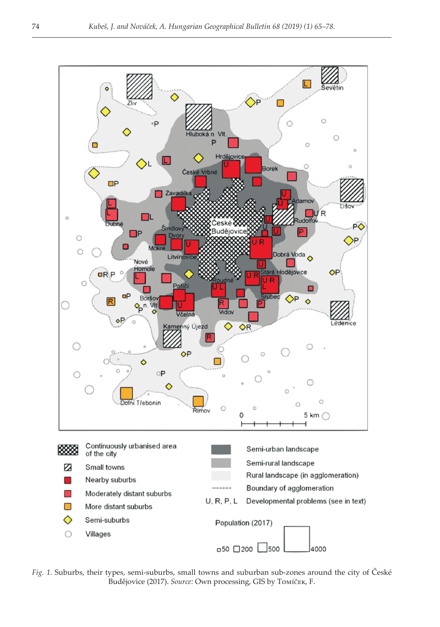

*Fig. 1.* Suburbs, their types, semi-suburbs, small towns and suburban sub-zones around the city of České Budějovice (2017). *Source:* Own processing, GIS by Tomíček, F.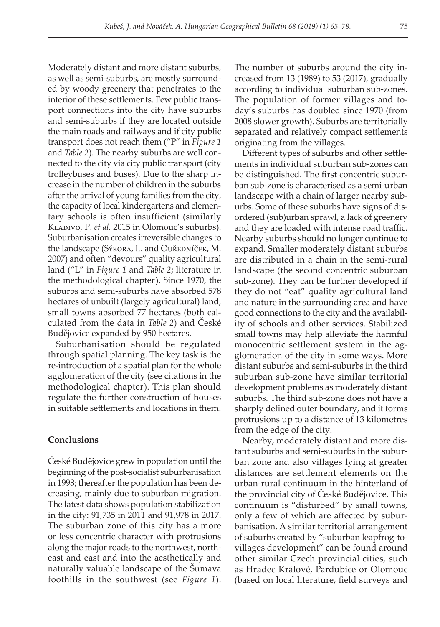Moderately distant and more distant suburbs, as well as semi-suburbs, are mostly surrounded by woody greenery that penetrates to the interior of these settlements. Few public transport connections into the city have suburbs and semi-suburbs if they are located outside the main roads and railways and if city public transport does not reach them ("P" in *Figure 1* and *Table 2*). The nearby suburbs are well connected to the city via city public transport (city trolleybuses and buses). Due to the sharp increase in the number of children in the suburbs after the arrival of young families from the city, the capacity of local kindergartens and elementary schools is often insufficient (similarly Kladivo, P. *et al.* 2015 in Olomouc's suburbs). Suburbanisation creates irreversible changes to the landscape (Sýkora, L. and Ouředníček, M. 2007) and often "devours" quality agricultural land ("L" in *Figure 1* and *Table 2*; literature in the methodological chapter). Since 1970, the suburbs and semi-suburbs have absorbed 578 hectares of unbuilt (largely agricultural) land, small towns absorbed 77 hectares (both calculated from the data in *Table 2*) and České Budějovice expanded by 950 hectares.

Suburbanisation should be regulated through spatial planning. The key task is the re-introduction of a spatial plan for the whole agglomeration of the city (see citations in the methodological chapter). This plan should regulate the further construction of houses in suitable settlements and locations in them.

# **Conclusions**

České Budějovice grew in population until the beginning of the post-socialist suburbanisation in 1998; thereafter the population has been decreasing, mainly due to suburban migration. The latest data shows population stabilization in the city: 91,735 in 2011 and 91,978 in 2017. The suburban zone of this city has a more or less concentric character with protrusions along the major roads to the northwest, northeast and east and into the aesthetically and naturally valuable landscape of the Šumava foothills in the southwest (see *Figure 1*).

The number of suburbs around the city increased from 13 (1989) to 53 (2017), gradually according to individual suburban sub-zones. The population of former villages and today's suburbs has doubled since 1970 (from 2008 slower growth). Suburbs are territorially separated and relatively compact settlements originating from the villages.

Different types of suburbs and other settlements in individual suburban sub-zones can be distinguished. The first concentric suburban sub-zone is characterised as a semi-urban landscape with a chain of larger nearby suburbs. Some of these suburbs have signs of disordered (sub)urban sprawl, a lack of greenery and they are loaded with intense road traffic. Nearby suburbs should no longer continue to expand. Smaller moderately distant suburbs are distributed in a chain in the semi-rural landscape (the second concentric suburban sub-zone). They can be further developed if they do not "eat" quality agricultural land and nature in the surrounding area and have good connections to the city and the availability of schools and other services. Stabilized small towns may help alleviate the harmful monocentric settlement system in the agglomeration of the city in some ways. More distant suburbs and semi-suburbs in the third suburban sub-zone have similar territorial development problems as moderately distant suburbs. The third sub-zone does not have a sharply defined outer boundary, and it forms protrusions up to a distance of 13 kilometres from the edge of the city.

Nearby, moderately distant and more distant suburbs and semi-suburbs in the suburban zone and also villages lying at greater distances are settlement elements on the urban-rural continuum in the hinterland of the provincial city of České Budějovice. This continuum is "disturbed" by small towns, only a few of which are affected by suburbanisation. A similar territorial arrangement of suburbs created by "suburban leapfrog-tovillages development" can be found around other similar Czech provincial cities, such as Hradec Králové, Pardubice or Olomouc (based on local literature, field surveys and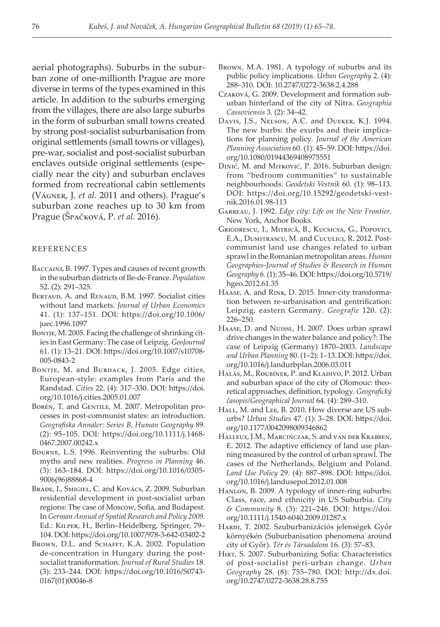aerial photographs). Suburbs in the suburban zone of one-millionth Prague are more diverse in terms of the types examined in this article. In addition to the suburbs emerging from the villages, there are also large suburbs in the form of suburban small towns created by strong post-socialist suburbanisation from original settlements (small towns or villages), pre-war, socialist and post-socialist suburban enclaves outside original settlements (especially near the city) and suburban enclaves formed from recreational cabin settlements (Vágner, J. *et al.* 2011 and others). Prague's suburban zone reaches up to 30 km from Prague (Špačková, P. *et al.* 2016).

#### REFERENCES

- Baccaini, B. 1997. Types and causes of recent growth in the suburban districts of Ile-de-France. *Population* 52. (2): 291–325.
- BERTAUD, A. and RENAUD, B.M. 1997. Socialist cities without land markets. *Journal of Urban Economics* 41. (1): 137–151. DOI: https://doi.org/10.1006/ juec.1996.1097
- BONTJE, M. 2005. Facing the challenge of shrinking cities in East Germany: The case of Leipzig. *GeoJournal* 61. (1): 13–21. DOI: https://doi.org/10.1007/s10708- 005-0843-2
- BONTJE, M. and BURDACK, J. 2005. Edge cities, European-style: examples from Paris and the Randstad. *Cities* 22. (4): 317–330. DOI: https://doi. org/10.1016/j.cities.2005.01.007
- BORÉN, T. and GENTILE, M. 2007. Metropolitan processes in post-communist states: an introduction. *Geografiska Annaler: Series B, Human Geography* 89. (2): 95–105. DOI: https://doi.org/10.1111/j.1468- 0467.2007.00242.x
- Bourne, L.S. 1996. Reinventing the suburbs: Old myths and new realities. *Progress in Planning* 46. (3): 163–184. DOI: https://doi.org/10.1016/0305- 9006(96)88868-4
- Brade, I., Smigiel, C. and Kovács, Z. 2009. Suburban residential development in post-socialist urban regions: The case of Moscow, Sofia, and Budapest. In *German Annual of Spatial Research and Policy 2009*. Ed.: Kilper, H., Berlin–Heidelberg, Springer, 79– 104. DOI: https://doi.org/10.1007/978-3-642-03402-2
- BROWN, D.L. and SCHAFFT, K.A. 2002. Population de-concentration in Hungary during the postsocialist transformation. *Journal of Rural Studies* 18. (3): 233–244. DOI: https://doi.org/10.1016/S0743- 0167(01)00046-8
- Brown, M.A. 1981. A typology of suburbs and its public policy implications. *Urban Geography* 2. (4): 288–310. DOI: 10.2747/0272-3638.2.4.288
- Czaková, G. 2009. Development and formation suburban hinterland of the city of Nitra. *Geographia Cassoviensis* 3. (2): 34–42.
- Davis, J.S., Nelson, A.C. and Dueker, K.J. 1994. The new burbs: the exurbs and their implications for planning policy. *Journal of the American Planning Association* 60. (1): 45–59. DOI: https://doi. org/10.1080/01944369408975551
- Dinić, M. and Mitković, P. 2016. Suburban design: from "bedroom communities" to sustainable neighbourhoods. *Geodetski Vestnik* 60. (1): 98–113. DOI: https://doi.org/10.15292/geodetski-vestnik.2016.01.98-113
- Garreau, J. 1992. *Edge city: Life on the New Frontier*. New York, Anchor Books.
- Grigorescu, I., Mitrică, B., Kucsicsa, G., Popovici, E.A., Dumitrascu, M. and Cuculici, R. 2012. Postcommunist land use changes related to urban sprawl in the Romanian metropolitan areas. *Human Geographies-Journal of Studies & Research in Human Geography* 6. (1): 35–46. DOI: https://doi.org/10.5719/ hgeo.2012.61.35
- Haase, A. and Rink, D. 2015. Inner-city transformation between re-urbanisation and gentrification: Leipzig, eastern Germany. *Geografie* 120. (2): 226–250.
- Haase, D. and Nuissl, H. 2007. Does urban sprawl drive changes in the water balance and policy?: The case of Leipzig (Germany) 1870–2003. *Landscape and Urban Planning* 80. (1–2): 1–13. DOI: https://doi. org/10.1016/j.landurbplan.2006.03.011
- HALÁS, M., ROUBÍNEK, P. and KLADIVO, P. 2012. Urban and suburban space of the city of Olomouc: theoretical approaches, definition, typology. *Geografický časopis/Geographical Journal* 64. (4): 289–310.
- HALL, M. and LEE, B. 2010. How diverse are US suburbs? *Urban Studies* 47. (1): 3–28. DOI: https://doi. org/10.1177/0042098009346862
- Halleux, J.M., Marcińczak, S. and van der Krabben, E. 2012. The adaptive efficiency of land use planning measured by the control of urban sprawl. The cases of the Netherlands, Belgium and Poland. *Land Use Policy* 29. (4): 887–898. DOI: https://doi. org/10.1016/j.landusepol.2012.01.008
- Hanlon, B. 2009. A typology of inner-ring suburbs: Class, race, and ethnicity in US Suburbia. *City & Community* 8. (3): 221–246. DOI: https://doi. org/10.1111/j.1540-6040.2009.01287.x
- HARDI, T. 2002. Szuburbanizációs jelenségek Győr környékén (Suburbanisation phenomena around city of Győr). *Tér és Társadalom* 16. (3): 57–83.
- Hirt, S. 2007. Suburbanizing Sofia: Characteristics of post-socialist peri-urban change. *Urban Geography* 28. (8): 755–780. DOI: http://dx.doi. org/10.2747/0272-3638.28.8.755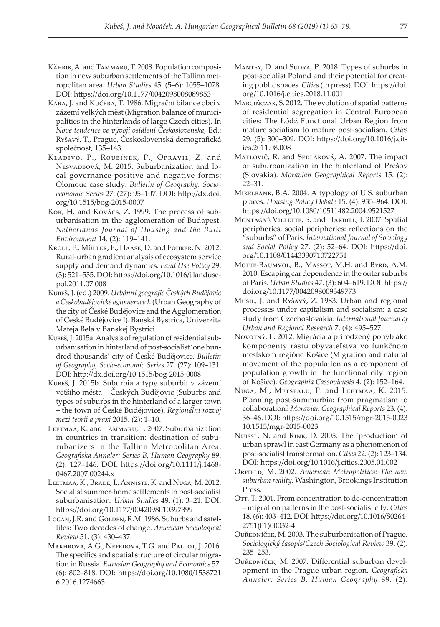- KÄHRIK, A. and TAMMARU, T. 2008. Population composition in new suburban settlements of the Tallinn metropolitan area. *Urban Studies* 45. (5–6): 1055–1078. DOI: https://doi.org/10.1177/0042098008089853
- Kára, J. and Kučera, T. 1986. Migrační bilance obcí v zázemí velkých měst (Migration balance of municipalities in the hinterlands of large Czech cities). In *Nové tendence ve vývoji osídlení Československa*, Ed.: Ryšavý, T., Prague, Československá demografická společnost, 135–143.
- Kladivo, P., Roubínek, P., Opravil, Z. and NESVADBOVÁ, M. 2015. Suburbanization and local governance-positive and negative forms: Olomouc case study. *Bulletin of Geography. Socioeconomic Series* 27. (27): 95–107. DOI: http://dx.doi. org/10.1515/bog-2015-0007
- Kok, H. and Kovács, Z. 1999. The process of suburbanisation in the agglomeration of Budapest. *Netherlands Journal of Housing and the Built Environment* 14. (2): 119–141.
- Kroll, F., Müller, F., Haase, D. and Fohrer, N. 2012. Rural-urban gradient analysis of ecosystem service supply and demand dynamics. *Land Use Policy* 29. (3): 521–535. DOI: https://doi.org/10.1016/j.landusepol.2011.07.008
- Kubeš, J. (ed.) 2009. *Urbánní geografie Českých Budějovic a Českobudějovické aglomerace I.* (Urban Geography of the city of České Budějovice and the Agglomeration of České Budějovice I). Banská Bystrica, Univerzita Mateja Bela v Banskej Bystrici.
- Kubeš, J. 2015a. Analysis of regulation of residential suburbanisation in hinterland of post-socialist 'one hundred thousands' city of České Budějovice. *Bulletin of Geography, Socio-economic Series* 27. (27): 109–131. DOI: http://dx.doi.org/10.1515/bog-2015-0008
- Kubeš, J. 2015b. Suburbia a typy suburbií v zázemí většího města – Českých Budějovic (Suburbs and types of suburbs in the hinterland of a larger town – the town of České Budějovice). *Regionální rozvoj mezi teorií a praxí* 2015. (2): 1–10.
- Leetmaa, K. and Tammaru, T. 2007. Suburbanization in countries in transition: destination of suburubanizers in the Tallinn Metropolitan Area. *Geografiska Annaler: Series B, Human Geography* 89. (2): 127–146. DOI: https://doi.org/10.1111/j.1468- 0467.2007.00244.x
- Leetmaa, K., Brade, I., Anniste, K. and Nuga, M. 2012. Socialist summer-home settlements in post-socialist suburbanisation. *Urban Studies* 49. (1): 3–21. DOI: https://doi.org/10.1177/0042098010397399
- Logan, J.R. and Golden, R.M. 1986. Suburbs and satellites: Two decades of change. *American Sociological Review* 51. (3): 430–437.
- Makhrova, A.G., Nefedova, T.G. and Pallot, J. 2016. The specifics and spatial structure of circular migration in Russia. *Eurasian Geography and Economics* 57. (6): 802–818. DOI: https://doi.org/10.1080/1538721 6.2016.1274663
- MANTEY, D. and SUDRA, P. 2018. Types of suburbs in post-socialist Poland and their potential for creating public spaces. *Cities* (in press). DOI: https://doi. org/10.1016/j.cities.2018.11.001
- Marcińczak, S. 2012. The evolution of spatial patterns of residential segregation in Central European cities: The Łódź Functional Urban Region from mature socialism to mature post-socialism. *Cities* 29. (5): 300–309. DOI: https://doi.org/10.1016/j.cities.2011.08.008
- MATLOVIČ, R. and SEDLÁKOVÁ, A. 2007. The impact of suburbanization in the hinterland of Prešov (Slovakia). *Moravian Geographical Reports* 15. (2): 22–31.
- Mikelbank, B.A. 2004. A typology of U.S. suburban places. *Housing Policy Debate* 15. (4): 935–964. DOI: https://doi.org/10.1080/10511482.2004.9521527
- Montagné Villette, S. and Hardill, I. 2007. Spatial peripheries, social peripheries: reflections on the "suburbs" of Paris. *International Journal of Sociology and Social Policy* 27. (2): 52–64. DOI: https://doi. org/10.1108/01443330710722751
- Motte-Baumvol, B., Massot, M.H. and Byrd, A.M. 2010. Escaping car dependence in the outer suburbs of Paris. *Urban Studies* 47. (3): 604–619. DOI: https:// doi.org/10.1177/0042098009349773
- Musil, J. and Ryšavý, Z. 1983. Urban and regional processes under capitalism and socialism: a case study from Czechoslovakia. *International Journal of Urban and Regional Research* 7. (4): 495–527.
- Novotný, L. 2012. Migrácia a prirodzený pohyb ako komponenty rastu obyvateľstva vo funkčnom mestskom regióne Košice (Migration and natural movement of the population as a component of population growth in the functional city region of Košice). *Geographia Cassoviensis* 4. (2): 152–164.
- Nuga, M., Metspalu, P. and Leetmaa, K. 2015. Planning post-summurbia: from pragmatism to collaboration? *Moravian Geographical Reports* 23. (4): 36–46. DOI: https://doi.org/10.1515/mgr-2015-0023 10.1515/mgr-2015-0023
- Nuissl, N. and Rink, D. 2005. The 'production' of urban sprawl in east Germany as a phenomenon of post-socialist transformation. *Cities* 22. (2): 123–134. DOI: https://doi.org/10.1016/j.cities.2005.01.002
- ORFIELD, M. 2002. American Metropolitics: The new *suburban reality.* Washington, Brookings Institution Press.
- OTT, T. 2001. From concentration to de-concentration – migration patterns in the post-socialist city. *Cities* 18. (6): 403–412. DOI: https://doi.org/10.1016/S0264- 2751(01)00032-4
- Ouředníček, M. 2003. The suburbanisation of Prague. *Sociologický časopis/Czech Sociological Review* 39. (2): 235–253.
- Ouředníček, M. 2007. Differential suburban development in the Prague urban region. *Geografiska Annaler: Series B, Human Geography* 89. (2):